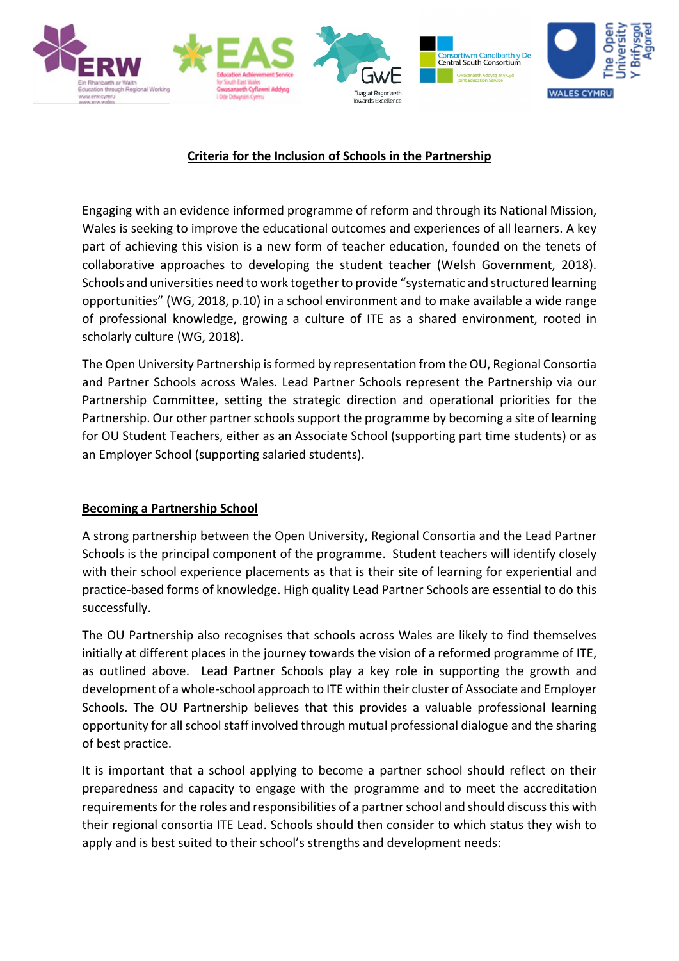

# **Criteria for the Inclusion of Schools in the Partnership**

Engaging with an evidence informed programme of reform and through its National Mission, Wales is seeking to improve the educational outcomes and experiences of all learners. A key part of achieving this vision is a new form of teacher education, founded on the tenets of collaborative approaches to developing the student teacher (Welsh Government, 2018). Schools and universities need to work together to provide "systematic and structured learning opportunities" (WG, 2018, p.10) in a school environment and to make available a wide range of professional knowledge, growing a culture of ITE as a shared environment, rooted in scholarly culture (WG, 2018).

The Open University Partnership is formed by representation from the OU, Regional Consortia and Partner Schools across Wales. Lead Partner Schools represent the Partnership via our Partnership Committee, setting the strategic direction and operational priorities for the Partnership. Our other partner schools support the programme by becoming a site of learning for OU Student Teachers, either as an Associate School (supporting part time students) or as an Employer School (supporting salaried students).

## **Becoming a Partnership School**

A strong partnership between the Open University, Regional Consortia and the Lead Partner Schools is the principal component of the programme. Student teachers will identify closely with their school experience placements as that is their site of learning for experiential and practice-based forms of knowledge. High quality Lead Partner Schools are essential to do this successfully.

The OU Partnership also recognises that schools across Wales are likely to find themselves initially at different places in the journey towards the vision of a reformed programme of ITE, as outlined above. Lead Partner Schools play a key role in supporting the growth and development of a whole-school approach to ITE within their cluster of Associate and Employer Schools. The OU Partnership believes that this provides a valuable professional learning opportunity for all school staff involved through mutual professional dialogue and the sharing of best practice.

It is important that a school applying to become a partner school should reflect on their preparedness and capacity to engage with the programme and to meet the accreditation requirements for the roles and responsibilities of a partner school and should discuss this with their regional consortia ITE Lead. Schools should then consider to which status they wish to apply and is best suited to their school's strengths and development needs: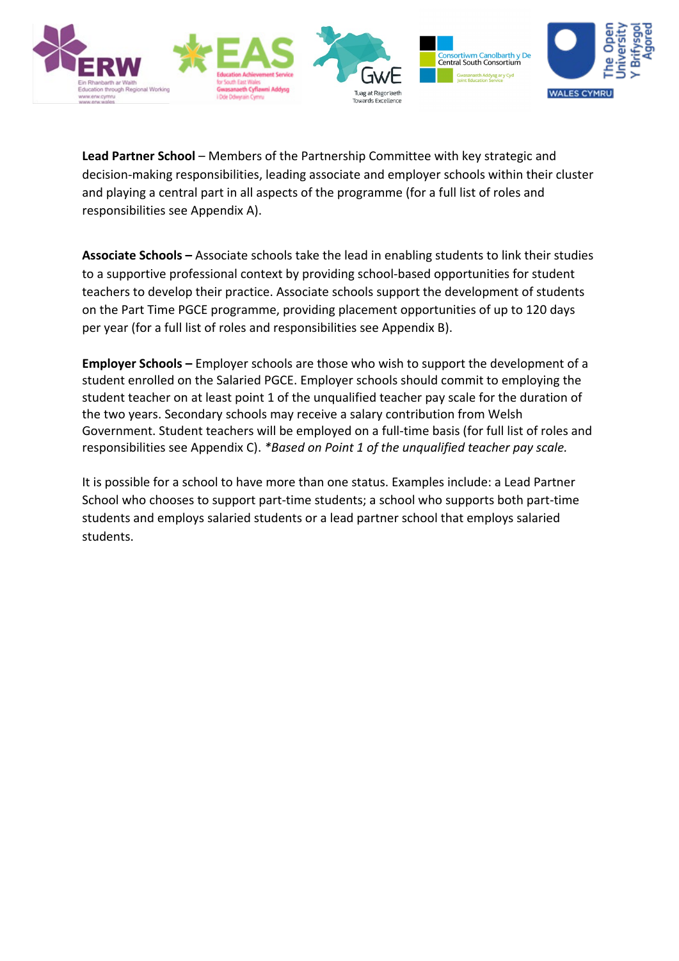

**Lead Partner School** – Members of the Partnership Committee with key strategic and decision-making responsibilities, leading associate and employer schools within their cluster and playing a central part in all aspects of the programme (for a full list of roles and responsibilities see Appendix A).

**Associate Schools –** Associate schools take the lead in enabling students to link their studies to a supportive professional context by providing school-based opportunities for student teachers to develop their practice. Associate schools support the development of students on the Part Time PGCE programme, providing placement opportunities of up to 120 days per year (for a full list of roles and responsibilities see Appendix B).

**Employer Schools –** Employer schools are those who wish to support the development of a student enrolled on the Salaried PGCE. Employer schools should commit to employing the student teacher on at least point 1 of the unqualified teacher pay scale for the duration of the two years. Secondary schools may receive a salary contribution from Welsh Government. Student teachers will be employed on a full-time basis (for full list of roles and responsibilities see Appendix C). *\*Based on Point 1 of the unqualified teacher pay scale.*

It is possible for a school to have more than one status. Examples include: a Lead Partner School who chooses to support part-time students; a school who supports both part-time students and employs salaried students or a lead partner school that employs salaried students.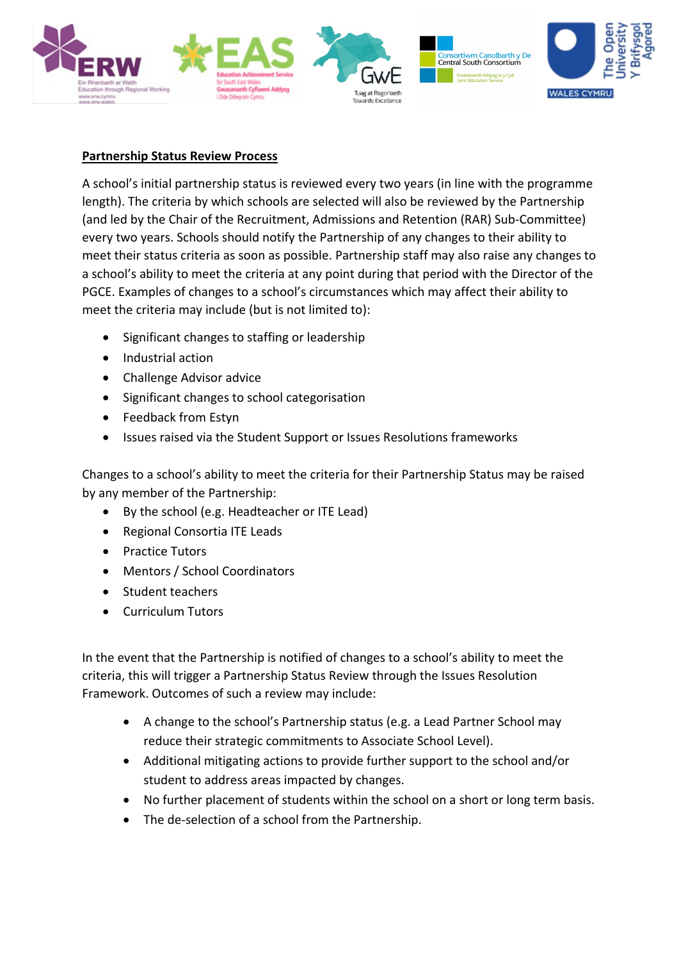

# **Partnership Status Review Process**

A school's initial partnership status is reviewed every two years (in line with the programme length). The criteria by which schools are selected will also be reviewed by the Partnership (and led by the Chair of the Recruitment, Admissions and Retention (RAR) Sub-Committee) every two years. Schools should notify the Partnership of any changes to their ability to meet their status criteria as soon as possible. Partnership staff may also raise any changes to a school's ability to meet the criteria at any point during that period with the Director of the PGCE. Examples of changes to a school's circumstances which may affect their ability to meet the criteria may include (but is not limited to):

- Significant changes to staffing or leadership
- Industrial action
- Challenge Advisor advice
- Significant changes to school categorisation
- Feedback from Estyn
- Issues raised via the Student Support or Issues Resolutions frameworks

Changes to a school's ability to meet the criteria for their Partnership Status may be raised by any member of the Partnership:

- By the school (e.g. Headteacher or ITE Lead)
- Regional Consortia ITE Leads
- Practice Tutors
- Mentors / School Coordinators
- Student teachers
- Curriculum Tutors

In the event that the Partnership is notified of changes to a school's ability to meet the criteria, this will trigger a Partnership Status Review through the Issues Resolution Framework. Outcomes of such a review may include:

- A change to the school's Partnership status (e.g. a Lead Partner School may reduce their strategic commitments to Associate School Level).
- Additional mitigating actions to provide further support to the school and/or student to address areas impacted by changes.
- No further placement of students within the school on a short or long term basis.
- The de-selection of a school from the Partnership.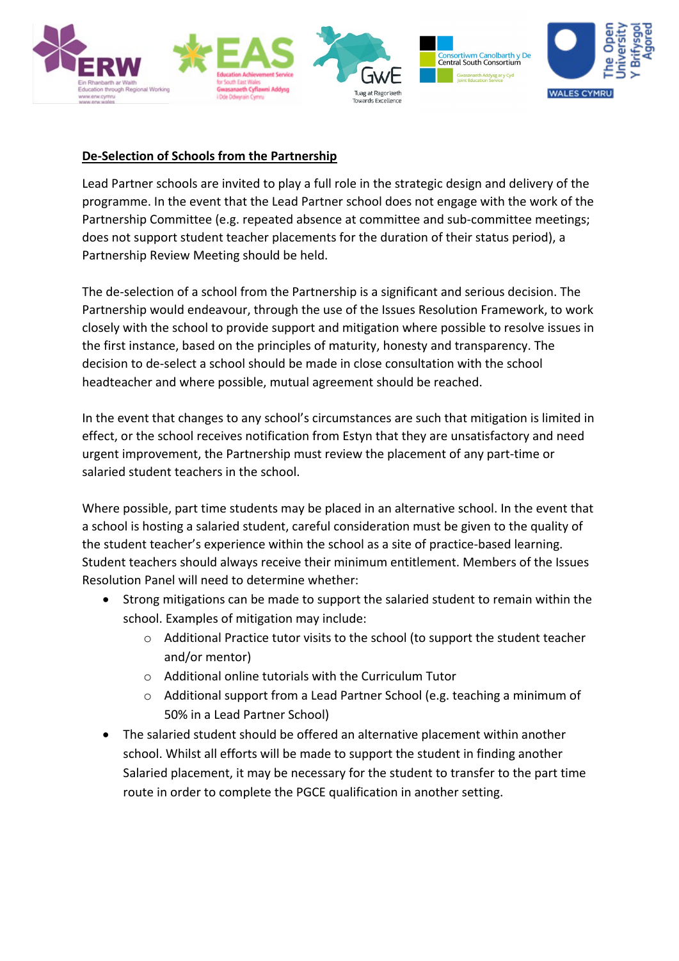

# **De-Selection of Schools from the Partnership**

Lead Partner schools are invited to play a full role in the strategic design and delivery of the programme. In the event that the Lead Partner school does not engage with the work of the Partnership Committee (e.g. repeated absence at committee and sub-committee meetings; does not support student teacher placements for the duration of their status period), a Partnership Review Meeting should be held.

The de-selection of a school from the Partnership is a significant and serious decision. The Partnership would endeavour, through the use of the Issues Resolution Framework, to work closely with the school to provide support and mitigation where possible to resolve issues in the first instance, based on the principles of maturity, honesty and transparency. The decision to de-select a school should be made in close consultation with the school headteacher and where possible, mutual agreement should be reached.

In the event that changes to any school's circumstances are such that mitigation is limited in effect, or the school receives notification from Estyn that they are unsatisfactory and need urgent improvement, the Partnership must review the placement of any part-time or salaried student teachers in the school.

Where possible, part time students may be placed in an alternative school. In the event that a school is hosting a salaried student, careful consideration must be given to the quality of the student teacher's experience within the school as a site of practice-based learning. Student teachers should always receive their minimum entitlement. Members of the Issues Resolution Panel will need to determine whether:

- Strong mitigations can be made to support the salaried student to remain within the school. Examples of mitigation may include:
	- $\circ$  Additional Practice tutor visits to the school (to support the student teacher and/or mentor)
	- o Additional online tutorials with the Curriculum Tutor
	- o Additional support from a Lead Partner School (e.g. teaching a minimum of 50% in a Lead Partner School)
- The salaried student should be offered an alternative placement within another school. Whilst all efforts will be made to support the student in finding another Salaried placement, it may be necessary for the student to transfer to the part time route in order to complete the PGCE qualification in another setting.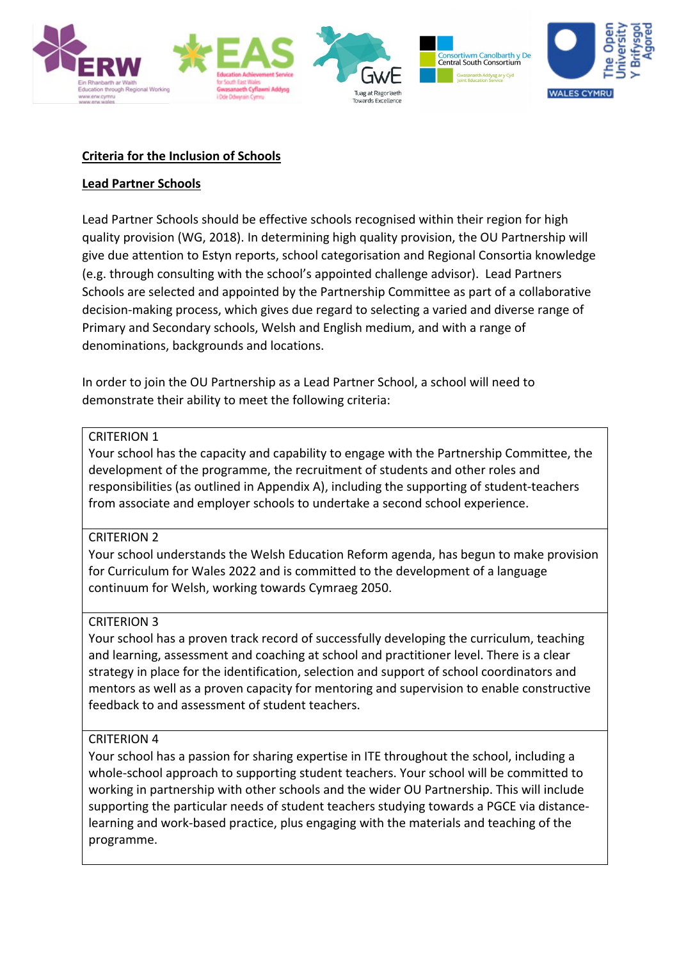

## **Criteria for the Inclusion of Schools**

## **Lead Partner Schools**

Lead Partner Schools should be effective schools recognised within their region for high quality provision (WG, 2018). In determining high quality provision, the OU Partnership will give due attention to Estyn reports, school categorisation and Regional Consortia knowledge (e.g. through consulting with the school's appointed challenge advisor). Lead Partners Schools are selected and appointed by the Partnership Committee as part of a collaborative decision-making process, which gives due regard to selecting a varied and diverse range of Primary and Secondary schools, Welsh and English medium, and with a range of denominations, backgrounds and locations.

In order to join the OU Partnership as a Lead Partner School, a school will need to demonstrate their ability to meet the following criteria:

### CRITERION 1

Your school has the capacity and capability to engage with the Partnership Committee, the development of the programme, the recruitment of students and other roles and responsibilities (as outlined in Appendix A), including the supporting of student-teachers from associate and employer schools to undertake a second school experience.

### CRITERION 2

Your school understands the Welsh Education Reform agenda, has begun to make provision for Curriculum for Wales 2022 and is committed to the development of a language continuum for Welsh, working towards Cymraeg 2050.

### CRITERION 3

Your school has a proven track record of successfully developing the curriculum, teaching and learning, assessment and coaching at school and practitioner level. There is a clear strategy in place for the identification, selection and support of school coordinators and mentors as well as a proven capacity for mentoring and supervision to enable constructive feedback to and assessment of student teachers.

## CRITERION 4

Your school has a passion for sharing expertise in ITE throughout the school, including a whole-school approach to supporting student teachers. Your school will be committed to working in partnership with other schools and the wider OU Partnership. This will include supporting the particular needs of student teachers studying towards a PGCE via distancelearning and work-based practice, plus engaging with the materials and teaching of the programme.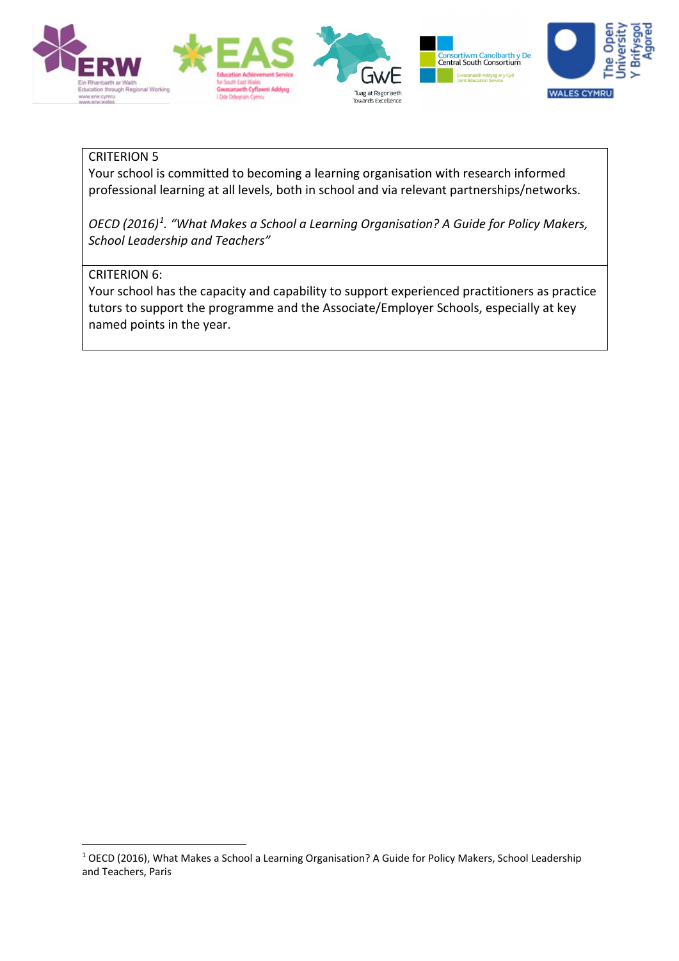

## CRITERION 5

Your school is committed to becoming a learning organisation with research informed professional learning at all levels, both in school and via relevant partnerships/networks.

*OECD (2016)[1](#page-5-0) . "What Makes a School a Learning Organisation? A Guide for Policy Makers, School Leadership and Teachers"*

## CRITERION 6:

Your school has the capacity and capability to support experienced practitioners as practice tutors to support the programme and the Associate/Employer Schools, especially at key named points in the year.

<span id="page-5-0"></span><sup>1</sup> OECD (2016), What Makes a School a Learning Organisation? A Guide for Policy Makers, School Leadership and Teachers, Paris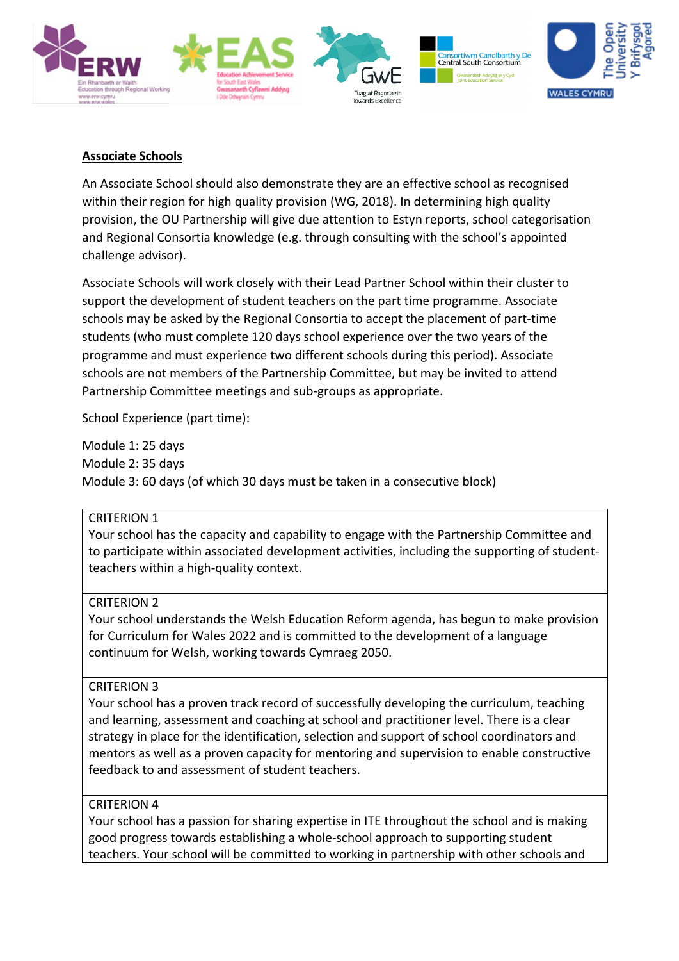

## **Associate Schools**

An Associate School should also demonstrate they are an effective school as recognised within their region for high quality provision (WG, 2018). In determining high quality provision, the OU Partnership will give due attention to Estyn reports, school categorisation and Regional Consortia knowledge (e.g. through consulting with the school's appointed challenge advisor).

Associate Schools will work closely with their Lead Partner School within their cluster to support the development of student teachers on the part time programme. Associate schools may be asked by the Regional Consortia to accept the placement of part-time students (who must complete 120 days school experience over the two years of the programme and must experience two different schools during this period). Associate schools are not members of the Partnership Committee, but may be invited to attend Partnership Committee meetings and sub-groups as appropriate.

School Experience (part time):

Module 1: 25 days Module 2: 35 days Module 3: 60 days (of which 30 days must be taken in a consecutive block)

## CRITERION 1

Your school has the capacity and capability to engage with the Partnership Committee and to participate within associated development activities, including the supporting of studentteachers within a high-quality context.

### CRITERION 2

Your school understands the Welsh Education Reform agenda, has begun to make provision for Curriculum for Wales 2022 and is committed to the development of a language continuum for Welsh, working towards Cymraeg 2050.

### CRITERION 3

Your school has a proven track record of successfully developing the curriculum, teaching and learning, assessment and coaching at school and practitioner level. There is a clear strategy in place for the identification, selection and support of school coordinators and mentors as well as a proven capacity for mentoring and supervision to enable constructive feedback to and assessment of student teachers.

## CRITERION 4

Your school has a passion for sharing expertise in ITE throughout the school and is making good progress towards establishing a whole-school approach to supporting student teachers. Your school will be committed to working in partnership with other schools and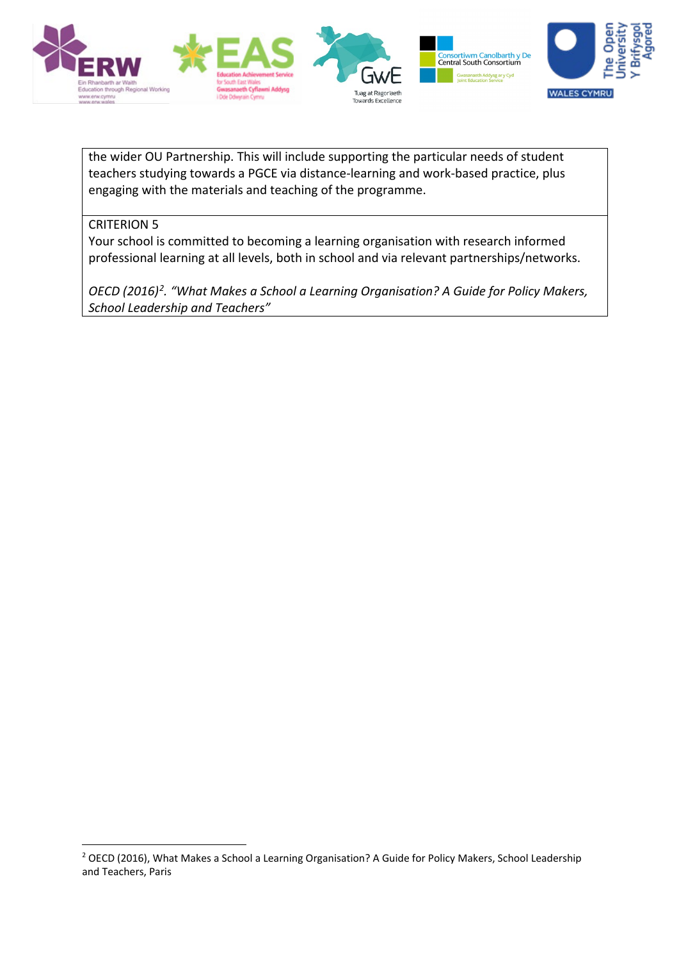

the wider OU Partnership. This will include supporting the particular needs of student teachers studying towards a PGCE via distance-learning and work-based practice, plus engaging with the materials and teaching of the programme.

## CRITERION 5

Your school is committed to becoming a learning organisation with research informed professional learning at all levels, both in school and via relevant partnerships/networks.

*OECD (2016)[2](#page-7-0) . "What Makes a School a Learning Organisation? A Guide for Policy Makers, School Leadership and Teachers"*

<span id="page-7-0"></span><sup>&</sup>lt;sup>2</sup> OECD (2016), What Makes a School a Learning Organisation? A Guide for Policy Makers, School Leadership and Teachers, Paris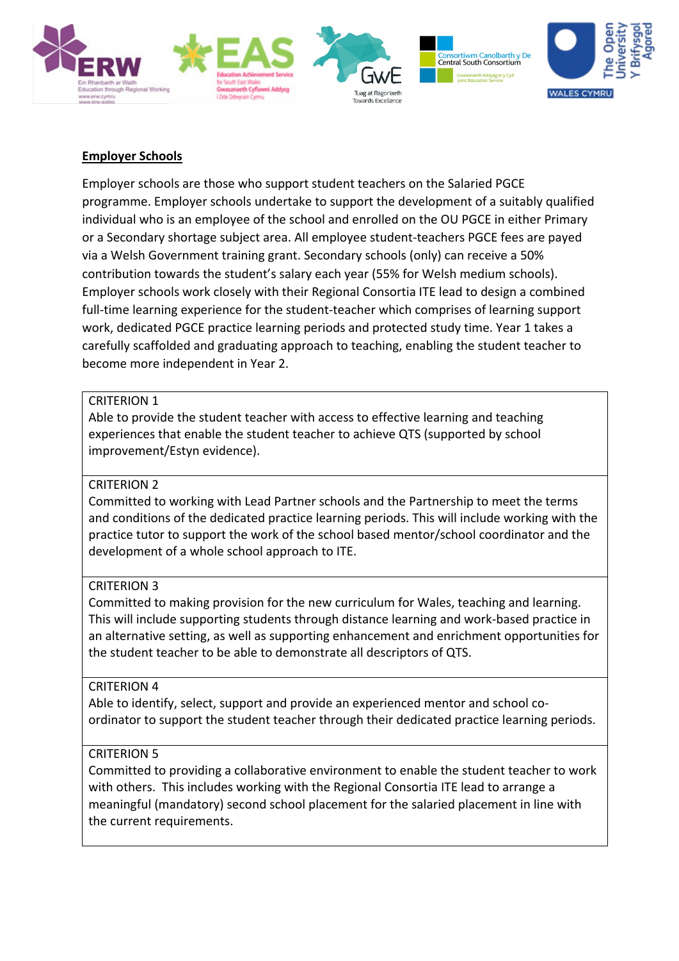

## **Employer Schools**

Employer schools are those who support student teachers on the Salaried PGCE programme. Employer schools undertake to support the development of a suitably qualified individual who is an employee of the school and enrolled on the OU PGCE in either Primary or a Secondary shortage subject area. All employee student-teachers PGCE fees are payed via a Welsh Government training grant. Secondary schools (only) can receive a 50% contribution towards the student's salary each year (55% for Welsh medium schools). Employer schools work closely with their Regional Consortia ITE lead to design a combined full-time learning experience for the student-teacher which comprises of learning support work, dedicated PGCE practice learning periods and protected study time. Year 1 takes a carefully scaffolded and graduating approach to teaching, enabling the student teacher to become more independent in Year 2.

### CRITERION 1

Able to provide the student teacher with access to effective learning and teaching experiences that enable the student teacher to achieve QTS (supported by school improvement/Estyn evidence).

### CRITERION 2

Committed to working with Lead Partner schools and the Partnership to meet the terms and conditions of the dedicated practice learning periods. This will include working with the practice tutor to support the work of the school based mentor/school coordinator and the development of a whole school approach to ITE.

### CRITERION 3

Committed to making provision for the new curriculum for Wales, teaching and learning. This will include supporting students through distance learning and work-based practice in an alternative setting, as well as supporting enhancement and enrichment opportunities for the student teacher to be able to demonstrate all descriptors of QTS.

### CRITERION 4

Able to identify, select, support and provide an experienced mentor and school coordinator to support the student teacher through their dedicated practice learning periods.

## CRITERION 5

Committed to providing a collaborative environment to enable the student teacher to work with others. This includes working with the Regional Consortia ITE lead to arrange a meaningful (mandatory) second school placement for the salaried placement in line with the current requirements.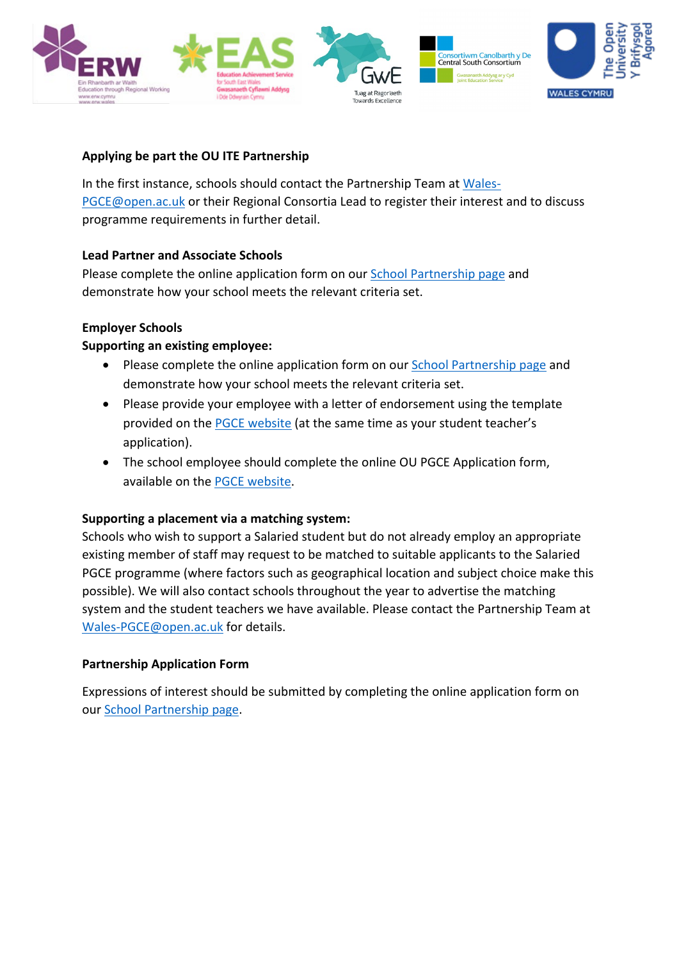

## **Applying be part the OU ITE Partnership**

In the first instance, schools should contact the Partnership Team at [Wales-](mailto:Wales-PGCE@open.ac.uk)[PGCE@open.ac.uk](mailto:Wales-PGCE@open.ac.uk) or their Regional Consortia Lead to register their interest and to discuss programme requirements in further detail.

## **Lead Partner and Associate Schools**

Please complete the online application form on our [School Partnership page](https://www.open.ac.uk/wales/en/our-work/pgce-school-partnership-opportunities) and demonstrate how your school meets the relevant criteria set.

## **Employer Schools**

## **Supporting an existing employee:**

- Please complete the online application form on our School Partnership page and demonstrate how your school meets the relevant criteria set.
- Please provide your employee with a letter of endorsement using the template provided on the PGCE [website](https://www.open.ac.uk/courses/choose/wales/pgce) (at the same time as your student teacher's application).
- The school employee should complete the online OU PGCE Application form, available on the PGCE [website.](https://www.open.ac.uk/courses/choose/wales/pgce)

### **Supporting a placement via a matching system:**

Schools who wish to support a Salaried student but do not already employ an appropriate existing member of staff may request to be matched to suitable applicants to the Salaried PGCE programme (where factors such as geographical location and subject choice make this possible). We will also contact schools throughout the year to advertise the matching system and the student teachers we have available. Please contact the Partnership Team at [Wales-PGCE@open.ac.uk](mailto:Wales-PGCE@open.ac.uk) for details.

### **Partnership Application Form**

Expressions of interest should be submitted by completing the online application form on our School Partnership page.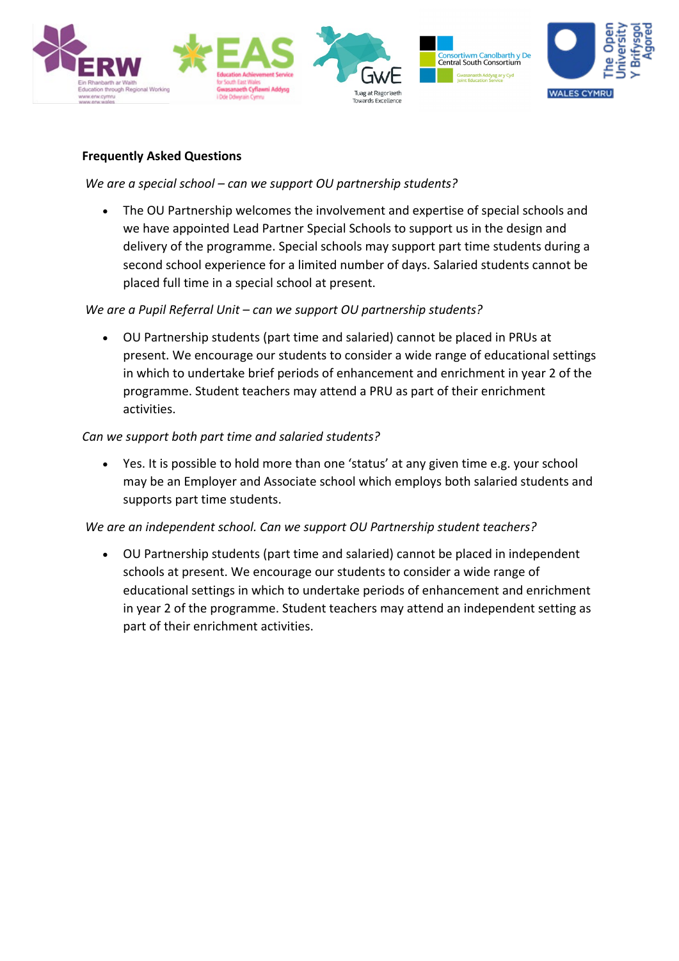

## **Frequently Asked Questions**

## *We are a special school – can we support OU partnership students?*

• The OU Partnership welcomes the involvement and expertise of special schools and we have appointed Lead Partner Special Schools to support us in the design and delivery of the programme. Special schools may support part time students during a second school experience for a limited number of days. Salaried students cannot be placed full time in a special school at present.

## *We are a Pupil Referral Unit – can we support OU partnership students?*

• OU Partnership students (part time and salaried) cannot be placed in PRUs at present. We encourage our students to consider a wide range of educational settings in which to undertake brief periods of enhancement and enrichment in year 2 of the programme. Student teachers may attend a PRU as part of their enrichment activities.

## *Can we support both part time and salaried students?*

• Yes. It is possible to hold more than one 'status' at any given time e.g. your school may be an Employer and Associate school which employs both salaried students and supports part time students.

## *We are an independent school. Can we support OU Partnership student teachers?*

• OU Partnership students (part time and salaried) cannot be placed in independent schools at present. We encourage our students to consider a wide range of educational settings in which to undertake periods of enhancement and enrichment in year 2 of the programme. Student teachers may attend an independent setting as part of their enrichment activities.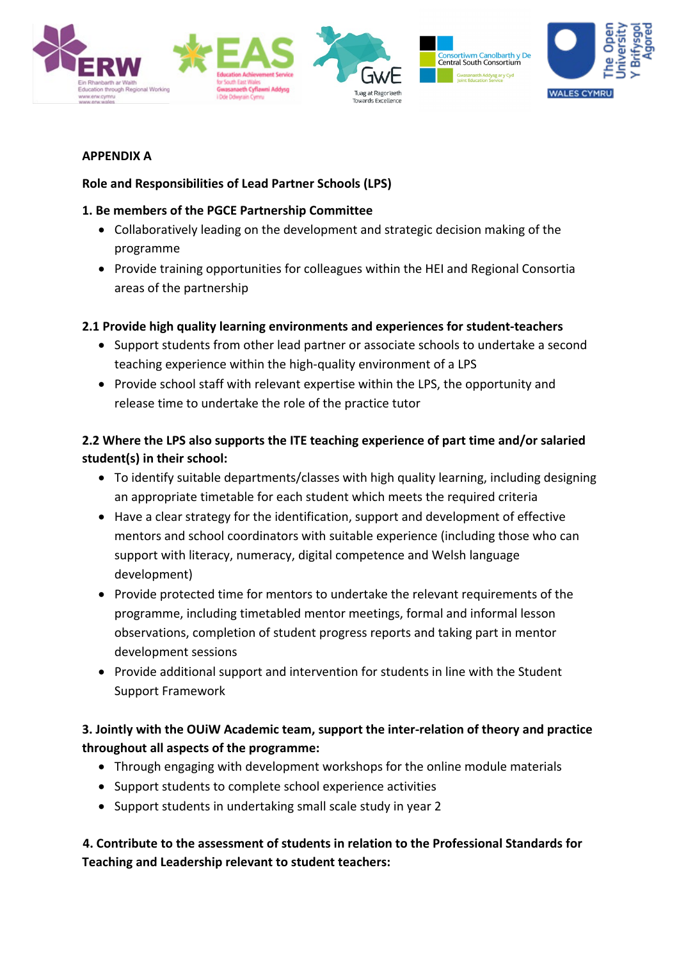

## **APPENDIX A**

# **Role and Responsibilities of Lead Partner Schools (LPS)**

# **1. Be members of the PGCE Partnership Committee**

- Collaboratively leading on the development and strategic decision making of the programme
- Provide training opportunities for colleagues within the HEI and Regional Consortia areas of the partnership

# **2.1 Provide high quality learning environments and experiences for student-teachers**

- Support students from other lead partner or associate schools to undertake a second teaching experience within the high-quality environment of a LPS
- Provide school staff with relevant expertise within the LPS, the opportunity and release time to undertake the role of the practice tutor

# **2.2 Where the LPS also supports the ITE teaching experience of part time and/or salaried student(s) in their school:**

- To identify suitable departments/classes with high quality learning, including designing an appropriate timetable for each student which meets the required criteria
- Have a clear strategy for the identification, support and development of effective mentors and school coordinators with suitable experience (including those who can support with literacy, numeracy, digital competence and Welsh language development)
- Provide protected time for mentors to undertake the relevant requirements of the programme, including timetabled mentor meetings, formal and informal lesson observations, completion of student progress reports and taking part in mentor development sessions
- Provide additional support and intervention for students in line with the Student Support Framework

# **3. Jointly with the OUiW Academic team, support the inter-relation of theory and practice throughout all aspects of the programme:**

- Through engaging with development workshops for the online module materials
- Support students to complete school experience activities
- Support students in undertaking small scale study in year 2

# **4. Contribute to the assessment of students in relation to the Professional Standards for Teaching and Leadership relevant to student teachers:**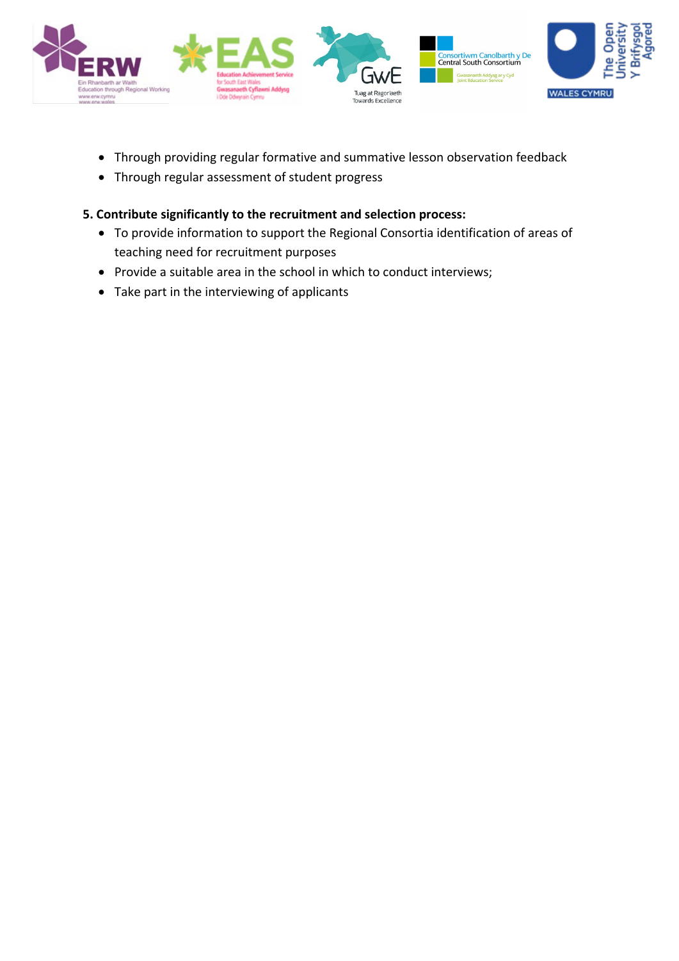

- Through providing regular formative and summative lesson observation feedback
- Through regular assessment of student progress

## **5. Contribute significantly to the recruitment and selection process:**

- To provide information to support the Regional Consortia identification of areas of teaching need for recruitment purposes
- Provide a suitable area in the school in which to conduct interviews;
- Take part in the interviewing of applicants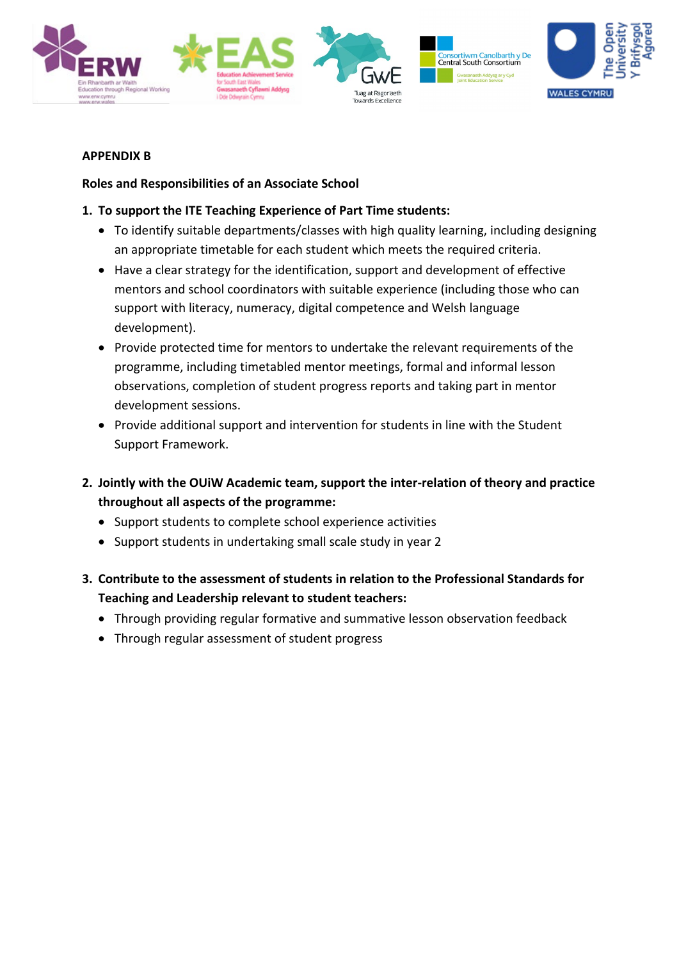

## **APPENDIX B**

# **Roles and Responsibilities of an Associate School**

# **1. To support the ITE Teaching Experience of Part Time students:**

- To identify suitable departments/classes with high quality learning, including designing an appropriate timetable for each student which meets the required criteria.
- Have a clear strategy for the identification, support and development of effective mentors and school coordinators with suitable experience (including those who can support with literacy, numeracy, digital competence and Welsh language development).
- Provide protected time for mentors to undertake the relevant requirements of the programme, including timetabled mentor meetings, formal and informal lesson observations, completion of student progress reports and taking part in mentor development sessions.
- Provide additional support and intervention for students in line with the Student Support Framework.
- **2. Jointly with the OUiW Academic team, support the inter-relation of theory and practice throughout all aspects of the programme:**
	- Support students to complete school experience activities
	- Support students in undertaking small scale study in year 2
- **3. Contribute to the assessment of students in relation to the Professional Standards for Teaching and Leadership relevant to student teachers:**
	- Through providing regular formative and summative lesson observation feedback
	- Through regular assessment of student progress